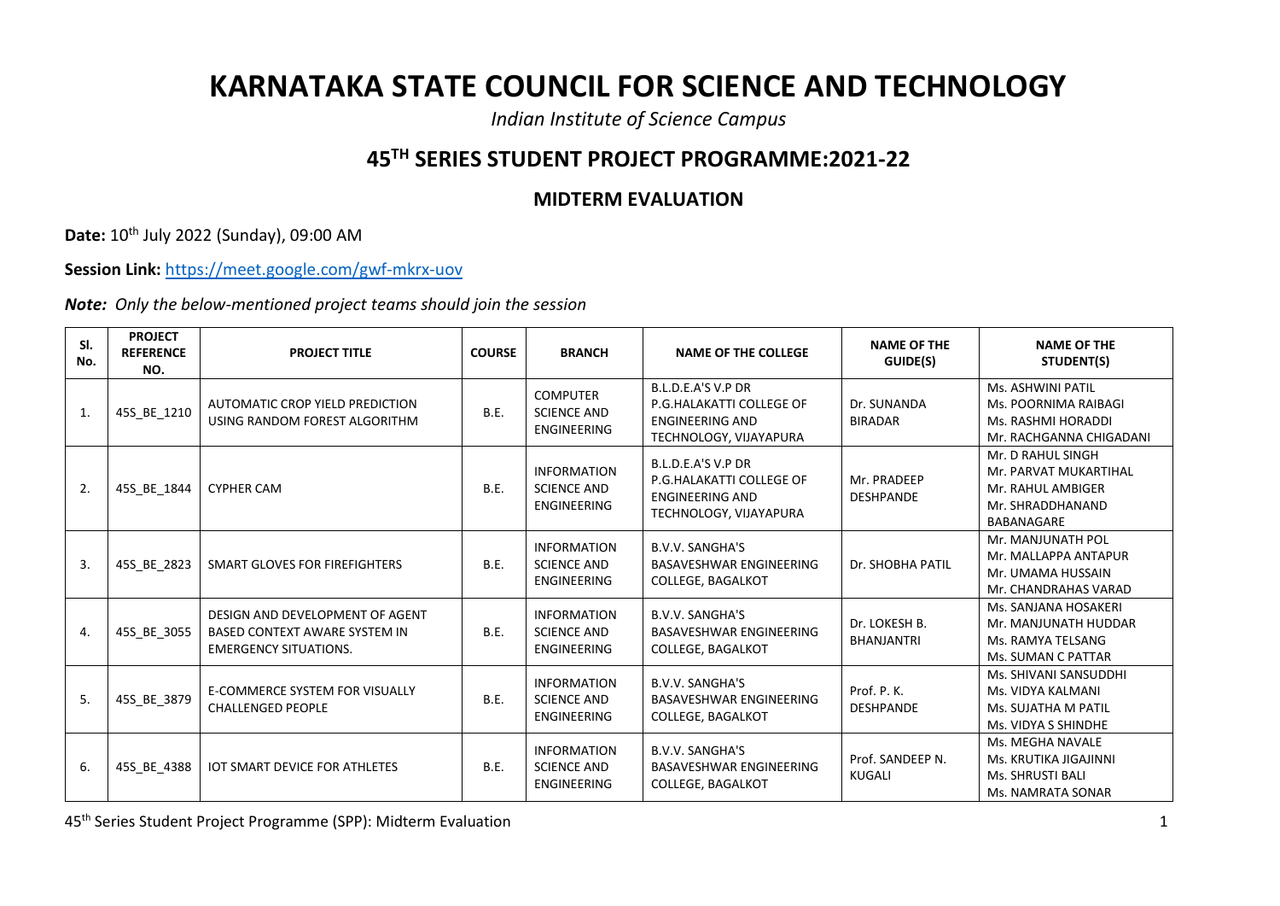## **KARNATAKA STATE COUNCIL FOR SCIENCE AND TECHNOLOGY**

*Indian Institute of Science Campus*

## **45TH SERIES STUDENT PROJECT PROGRAMME:2021-22**

## **MIDTERM EVALUATION**

**Date:** 10th July 2022 (Sunday), 09:00 AM

**Session Link:** <https://meet.google.com/gwf-mkrx-uov>

*Note: Only the below-mentioned project teams should join the session*

| SI.<br>No. | <b>PROJECT</b><br><b>REFERENCE</b><br>NO. | <b>PROJECT TITLE</b>                                                                                    | <b>COURSE</b> | <b>BRANCH</b>                                                  | <b>NAME OF THE COLLEGE</b>                                                                         | <b>NAME OF THE</b><br>GUIDE(S)     | <b>NAME OF THE</b><br>STUDENT(S)                                                                  |
|------------|-------------------------------------------|---------------------------------------------------------------------------------------------------------|---------------|----------------------------------------------------------------|----------------------------------------------------------------------------------------------------|------------------------------------|---------------------------------------------------------------------------------------------------|
| 1.         | 45S_BE_1210                               | AUTOMATIC CROP YIELD PREDICTION<br>USING RANDOM FOREST ALGORITHM                                        | B.E.          | <b>COMPUTER</b><br><b>SCIENCE AND</b><br><b>ENGINEERING</b>    | B.L.D.E.A'S V.P DR<br>P.G.HALAKATTI COLLEGE OF<br><b>ENGINEERING AND</b><br>TECHNOLOGY, VIJAYAPURA | Dr. SUNANDA<br><b>BIRADAR</b>      | Ms. ASHWINI PATIL<br>Ms. POORNIMA RAIBAGI<br>Ms. RASHMI HORADDI<br>Mr. RACHGANNA CHIGADANI        |
| 2.         | 45S BE 1844                               | <b>CYPHER CAM</b>                                                                                       | B.E.          | <b>INFORMATION</b><br><b>SCIENCE AND</b><br>ENGINEERING        | B.L.D.E.A'S V.P DR<br>P.G.HALAKATTI COLLEGE OF<br><b>ENGINEERING AND</b><br>TECHNOLOGY, VIJAYAPURA | Mr. PRADEEP<br><b>DESHPANDE</b>    | Mr. D RAHUL SINGH<br>Mr. PARVAT MUKARTIHAL<br>Mr. RAHUL AMBIGER<br>Mr. SHRADDHANAND<br>BABANAGARE |
| 3.         | 45S BE 2823                               | SMART GLOVES FOR FIREFIGHTERS                                                                           | <b>B.E.</b>   | <b>INFORMATION</b><br><b>SCIENCE AND</b><br>ENGINEERING        | <b>B.V.V. SANGHA'S</b><br>BASAVESHWAR ENGINEERING<br>COLLEGE, BAGALKOT                             | Dr. SHOBHA PATIL                   | Mr. MANJUNATH POL<br>Mr. MALLAPPA ANTAPUR<br>Mr. UMAMA HUSSAIN<br>Mr. CHANDRAHAS VARAD            |
| 4.         | 45S BE 3055                               | DESIGN AND DEVELOPMENT OF AGENT<br><b>BASED CONTEXT AWARE SYSTEM IN</b><br><b>EMERGENCY SITUATIONS.</b> | B.E.          | <b>INFORMATION</b><br><b>SCIENCE AND</b><br>ENGINEERING        | <b>B.V.V. SANGHA'S</b><br>BASAVESHWAR ENGINEERING<br><b>COLLEGE, BAGALKOT</b>                      | Dr. LOKESH B.<br><b>BHANJANTRI</b> | Ms. SANJANA HOSAKERI<br>Mr. MANJUNATH HUDDAR<br>Ms. RAMYA TELSANG<br>Ms. SUMAN C PATTAR           |
| 5.         | 45S_BE_3879                               | E-COMMERCE SYSTEM FOR VISUALLY<br><b>CHALLENGED PEOPLE</b>                                              | B.E.          | <b>INFORMATION</b><br><b>SCIENCE AND</b><br><b>ENGINEERING</b> | B.V.V. SANGHA'S<br>BASAVESHWAR ENGINEERING<br>COLLEGE, BAGALKOT                                    | Prof. P. K.<br><b>DESHPANDE</b>    | Ms. SHIVANI SANSUDDHI<br>Ms. VIDYA KALMANI<br>Ms. SUJATHA M PATIL<br>Ms. VIDYA S SHINDHE          |
| 6.         | 45S BE 4388                               | <b>IOT SMART DEVICE FOR ATHLETES</b>                                                                    | B.E.          | <b>INFORMATION</b><br><b>SCIENCE AND</b><br><b>ENGINEERING</b> | <b>B.V.V. SANGHA'S</b><br>BASAVESHWAR ENGINEERING<br><b>COLLEGE, BAGALKOT</b>                      | Prof. SANDEEP N.<br><b>KUGALI</b>  | Ms. MEGHA NAVALE<br>Ms. KRUTIKA JIGAJINNI<br><b>Ms. SHRUSTI BALI</b><br>Ms. NAMRATA SONAR         |

45th Series Student Project Programme (SPP): Midterm Evaluation 1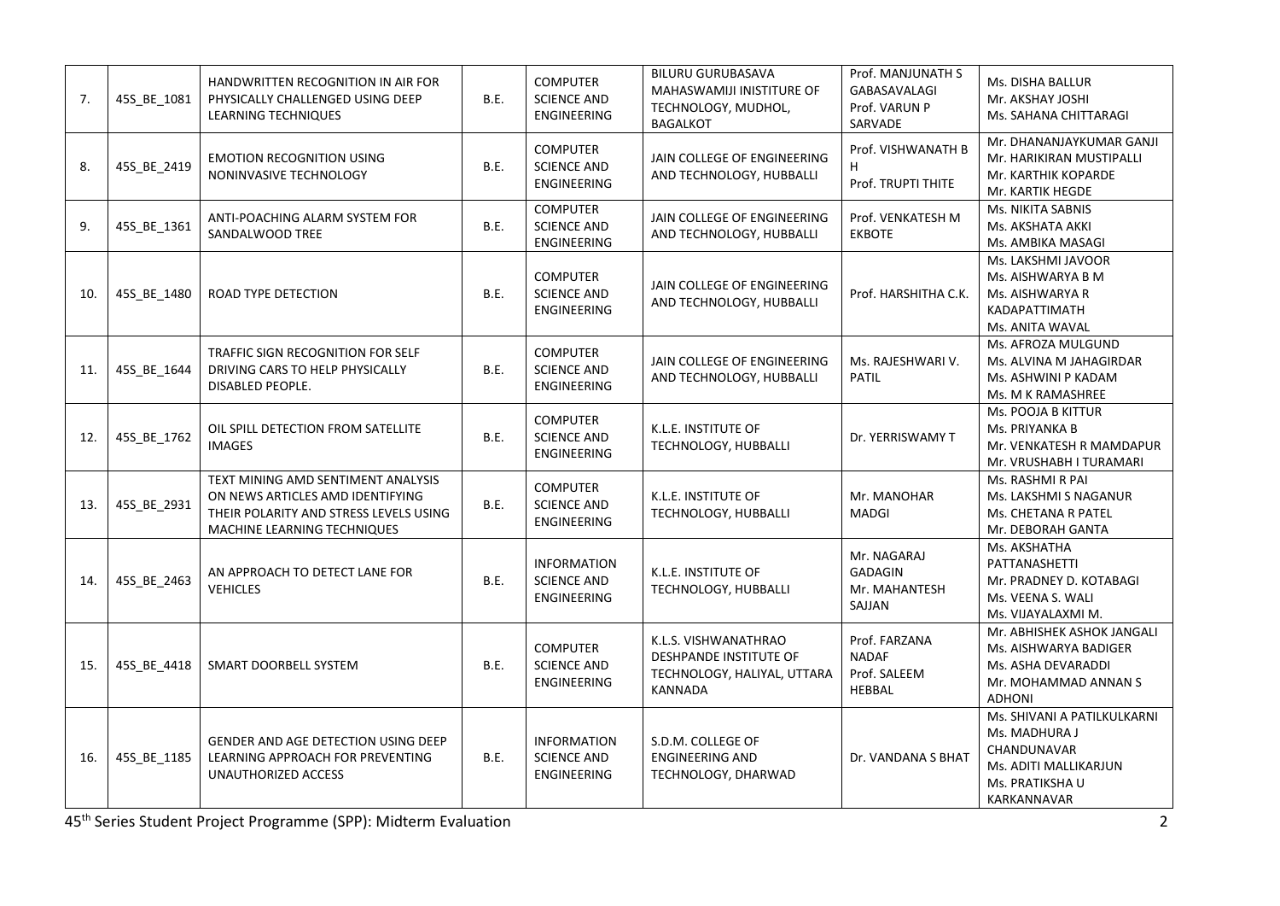| 7.  | 45S_BE_1081 | HANDWRITTEN RECOGNITION IN AIR FOR<br>PHYSICALLY CHALLENGED USING DEEP<br>LEARNING TECHNIQUES                                                   | B.E. | <b>COMPUTER</b><br><b>SCIENCE AND</b><br>ENGINEERING        | <b>BILURU GURUBASAVA</b><br>MAHASWAMIJI INISTITURE OF<br>TECHNOLOGY, MUDHOL,<br><b>BAGALKOT</b> | Prof. MANJUNATH S<br><b>GABASAVALAGI</b><br>Prof. VARUN P<br>SARVADE | <b>Ms. DISHA BALLUR</b><br>Mr. AKSHAY JOSHI<br>Ms. SAHANA CHITTARAGI                                                   |
|-----|-------------|-------------------------------------------------------------------------------------------------------------------------------------------------|------|-------------------------------------------------------------|-------------------------------------------------------------------------------------------------|----------------------------------------------------------------------|------------------------------------------------------------------------------------------------------------------------|
| 8.  | 45S_BE_2419 | <b>EMOTION RECOGNITION USING</b><br>NONINVASIVE TECHNOLOGY                                                                                      | B.E. | <b>COMPUTER</b><br><b>SCIENCE AND</b><br><b>ENGINEERING</b> | JAIN COLLEGE OF ENGINEERING<br>AND TECHNOLOGY, HUBBALLI                                         | Prof. VISHWANATH B<br>H<br>Prof. TRUPTI THITE                        | Mr. DHANANJAYKUMAR GANJI<br>Mr. HARIKIRAN MUSTIPALLI<br>Mr. KARTHIK KOPARDE<br>Mr. KARTIK HEGDE                        |
| 9.  | 45S_BE_1361 | ANTI-POACHING ALARM SYSTEM FOR<br>SANDALWOOD TREE                                                                                               | B.E. | <b>COMPUTER</b><br><b>SCIENCE AND</b><br>ENGINEERING        | JAIN COLLEGE OF ENGINEERING<br>AND TECHNOLOGY, HUBBALLI                                         | Prof. VENKATESH M<br><b>EKBOTE</b>                                   | <b>Ms. NIKITA SABNIS</b><br>Ms. AKSHATA AKKI<br>Ms. AMBIKA MASAGI                                                      |
| 10. | 45S_BE_1480 | ROAD TYPE DETECTION                                                                                                                             | B.E. | <b>COMPUTER</b><br><b>SCIENCE AND</b><br>ENGINEERING        | JAIN COLLEGE OF ENGINEERING<br>AND TECHNOLOGY, HUBBALLI                                         | Prof. HARSHITHA C.K.                                                 | Ms. LAKSHMI JAVOOR<br>Ms. AISHWARYA B M<br>Ms. AISHWARYA R<br>KADAPATTIMATH<br>Ms. ANITA WAVAL                         |
| 11. | 45S_BE_1644 | TRAFFIC SIGN RECOGNITION FOR SELF<br>DRIVING CARS TO HELP PHYSICALLY<br>DISABLED PEOPLE.                                                        | B.E. | <b>COMPUTER</b><br><b>SCIENCE AND</b><br>ENGINEERING        | JAIN COLLEGE OF ENGINEERING<br>AND TECHNOLOGY, HUBBALLI                                         | Ms. RAJESHWARI V.<br><b>PATIL</b>                                    | Ms. AFROZA MULGUND<br>Ms. ALVINA M JAHAGIRDAR<br>Ms. ASHWINI P KADAM<br>Ms. M K RAMASHREE                              |
| 12. | 45S_BE_1762 | OIL SPILL DETECTION FROM SATELLITE<br><b>IMAGES</b>                                                                                             | B.E. | <b>COMPUTER</b><br><b>SCIENCE AND</b><br>ENGINEERING        | <b>K.L.E. INSTITUTE OF</b><br>TECHNOLOGY, HUBBALLI                                              | Dr. YERRISWAMY T                                                     | Ms. POOJA B KITTUR<br>Ms. PRIYANKA B<br>Mr. VENKATESH R MAMDAPUR<br>Mr. VRUSHABH I TURAMARI                            |
| 13. | 45S_BE_2931 | TEXT MINING AMD SENTIMENT ANALYSIS<br>ON NEWS ARTICLES AMD IDENTIFYING<br>THEIR POLARITY AND STRESS LEVELS USING<br>MACHINE LEARNING TECHNIQUES | B.E. | <b>COMPUTER</b><br><b>SCIENCE AND</b><br><b>ENGINEERING</b> | K.L.E. INSTITUTE OF<br>TECHNOLOGY, HUBBALLI                                                     | Mr. MANOHAR<br><b>MADGI</b>                                          | Ms. RASHMI R PAI<br>Ms. LAKSHMI S NAGANUR<br>Ms. CHETANA R PATEL<br>Mr. DEBORAH GANTA                                  |
| 14. | 45S_BE_2463 | AN APPROACH TO DETECT LANE FOR<br><b>VEHICLES</b>                                                                                               | B.E. | <b>INFORMATION</b><br><b>SCIENCE AND</b><br>ENGINEERING     | K.L.E. INSTITUTE OF<br>TECHNOLOGY, HUBBALLI                                                     | Mr. NAGARAJ<br><b>GADAGIN</b><br>Mr. MAHANTESH<br>SAJJAN             | Ms. AKSHATHA<br>PATTANASHETTI<br>Mr. PRADNEY D. KOTABAGI<br>Ms. VEENA S. WALI<br>Ms. VIJAYALAXMI M.                    |
| 15. | 45S_BE_4418 | SMART DOORBELL SYSTEM                                                                                                                           | B.E. | <b>COMPUTER</b><br><b>SCIENCE AND</b><br>ENGINEERING        | K.L.S. VISHWANATHRAO<br>DESHPANDE INSTITUTE OF<br>TECHNOLOGY, HALIYAL, UTTARA<br><b>KANNADA</b> | Prof. FARZANA<br><b>NADAF</b><br>Prof. SALEEM<br>HEBBAL              | Mr. ABHISHEK ASHOK JANGALI<br>Ms. AISHWARYA BADIGER<br>Ms. ASHA DEVARADDI<br>Mr. MOHAMMAD ANNAN S<br><b>ADHONI</b>     |
| 16. | 45S BE 1185 | GENDER AND AGE DETECTION USING DEEP<br>LEARNING APPROACH FOR PREVENTING<br>UNAUTHORIZED ACCESS                                                  | B.E. | <b>INFORMATION</b><br><b>SCIENCE AND</b><br>ENGINEERING     | S.D.M. COLLEGE OF<br><b>ENGINEERING AND</b><br>TECHNOLOGY, DHARWAD                              | Dr. VANDANA S BHAT                                                   | Ms. SHIVANI A PATILKULKARNI<br>Ms. MADHURA J<br>CHANDUNAVAR<br>Ms. ADITI MALLIKARJUN<br>Ms. PRATIKSHA U<br>KARKANNAVAR |

45th Series Student Project Programme (SPP): Midterm Evaluation 2